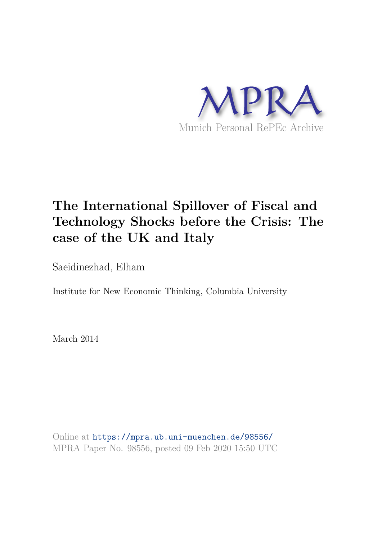

# **The International Spillover of Fiscal and Technology Shocks before the Crisis: The case of the UK and Italy**

Saeidinezhad, Elham

Institute for New Economic Thinking, Columbia University

March 2014

Online at https://mpra.ub.uni-muenchen.de/98556/ MPRA Paper No. 98556, posted 09 Feb 2020 15:50 UTC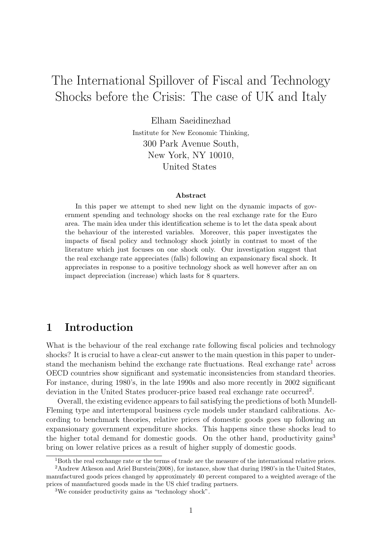# The International Spillover of Fiscal and Technology Shocks before the Crisis: The case of UK and Italy

Elham Saeidinezhad Institute for New Economic Thinking, 300 Park Avenue South, New York, NY 10010, United States

#### Abstract

In this paper we attempt to shed new light on the dynamic impacts of government spending and technology shocks on the real exchange rate for the Euro area. The main idea under this identification scheme is to let the data speak about the behaviour of the interested variables. Moreover, this paper investigates the impacts of fiscal policy and technology shock jointly in contrast to most of the literature which just focuses on one shock only. Our investigation suggest that the real exchange rate appreciates (falls) following an expansionary fiscal shock. It appreciates in response to a positive technology shock as well however after an on impact depreciation (increase) which lasts for 8 quarters.

## 1 Introduction

What is the behaviour of the real exchange rate following fiscal policies and technology shocks? It is crucial to have a clear-cut answer to the main question in this paper to understand the mechanism behind the exchange rate fluctuations. Real exchange rate<sup>1</sup> across OECD countries show significant and systematic inconsistencies from standard theories. For instance, during 1980's, in the late 1990s and also more recently in 2002 significant deviation in the United States producer-price based real exchange rate occurred<sup>2</sup>.

Overall, the existing evidence appears to fail satisfying the predictions of both Mundell-Fleming type and intertemporal business cycle models under standard calibrations. According to benchmark theories, relative prices of domestic goods goes up following an expansionary government expenditure shocks. This happens since these shocks lead to the higher total demand for domestic goods. On the other hand, productivity gains<sup>3</sup> bring on lower relative prices as a result of higher supply of domestic goods.

<sup>1</sup>Both the real exchange rate or the terms of trade are the measure of the international relative prices.

<sup>2</sup>Andrew Atkeson and Ariel Burstein(2008), for instance, show that during 1980's in the United States, manufactured goods prices changed by approximately 40 percent compared to a weighted average of the prices of manufactured goods made in the US chief trading partners.

<sup>3</sup>We consider productivity gains as "technology shock".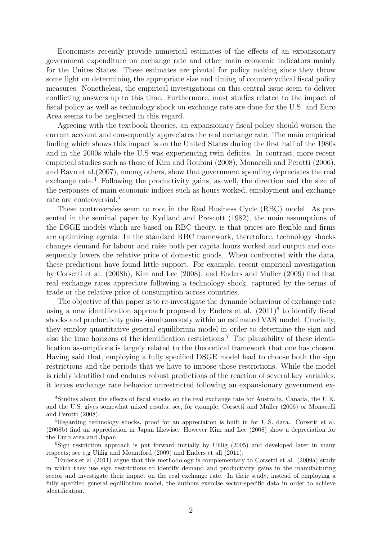Economists recently provide numerical estimates of the effects of an expansionary government expenditure on exchange rate and other main economic indicators mainly for the Unites States. These estimates are pivotal for policy making since they throw some light on determining the appropriate size and timing of countercyclical fiscal policy measures. Nonetheless, the empirical investigations on this central issue seem to deliver conflicting answers up to this time. Furthermore, most studies related to the impact of fiscal policy as well as technology shock on exchange rate are done for the U.S. and Euro Area seems to be neglected in this regard.

Agreeing with the textbook theories, an expansionary fiscal policy should worsen the current account and consequently appreciates the real exchange rate. The main empirical finding which shows this impact is on the United States during the first half of the 1980s and in the 2000s while the U.S was experiencing twin deficits. In contrast, more recent empirical studies such as those of Kim and Roubini (2008), Monacelli and Perotti (2006), and Ravn et al.(2007), among others, show that government spending depreciates the real exchange rate.<sup>4</sup> Following the productivity gains, as well, the direction and the size of the responses of main economic indices such as hours worked, employment and exchange rate are controversial.<sup>5</sup>

These controversies seem to root in the Real Business Cycle (RBC) model. As presented in the seminal paper by Kydland and Prescott (1982), the main assumptions of the DSGE models which are based on RBC theory, is that prices are flexible and firms are optimizing agents. In the standard RBC framework, theretofore, technology shocks changes demand for labour and raise both per capita hours worked and output and consequently lowers the relative price of domestic goods. When confronted with the data, these predictions have found little support. For example, recent empirical investigation by Corsetti et al. (2008b), Kim and Lee (2008), and Enders and Muller (2009) find that real exchange rates appreciate following a technology shock, captured by the terms of trade or the relative price of consumption across countries.

The objective of this paper is to re-investigate the dynamic behaviour of exchange rate using a new identification approach proposed by Enders et al.  $(2011)^6$  to identify fiscal shocks and productivity gains simultaneously within an estimated VAR model. Crucially, they employ quantitative general equilibrium model in order to determine the sign and also the time horizons of the identification restrictions.<sup>7</sup> The plausibility of these identification assumptions is largely related to the theoretical framework that one has chosen. Having said that, employing a fully specified DSGE model lead to choose both the sign restrictions and the periods that we have to impose those restrictions. While the model is richly identified and endures robust predictions of the reaction of several key variables, it leaves exchange rate behavior unrestricted following an expansionary government ex-

<sup>4</sup>Studies about the effects of fiscal shocks on the real exchange rate for Australia, Canada, the U.K. and the U.S. gives somewhat mixed results, see, for example, Corsetti and Muller (2006) or Monacelli and Perotti (2008).

<sup>&</sup>lt;sup>5</sup>Regarding technology shocks, proof for an appreciation is built in for U.S. data. Corsetti et al. (2008b) find an appreciation in Japan likewise. However Kim and Lee (2008) show a depreciation for the Euro area and Japan

 ${}^{6}$ Sign restriction approach is put forward initially by Uhlig (2005) and developed later in many respects; see e.g Uhlig and Mountford (2009) and Enders et all (2011).

<sup>&</sup>lt;sup>7</sup>Enders et al (2011) argue that this methodology is complementary to Corsetti et al. (2009a) study in which they use sign restrictions to identify demand and productivity gains in the manufacturing sector and investigate their impact on the real exchange rate. In their study, instead of employing a fully specified general equilibrium model, the authors exercise sector-specific data in order to achieve identification.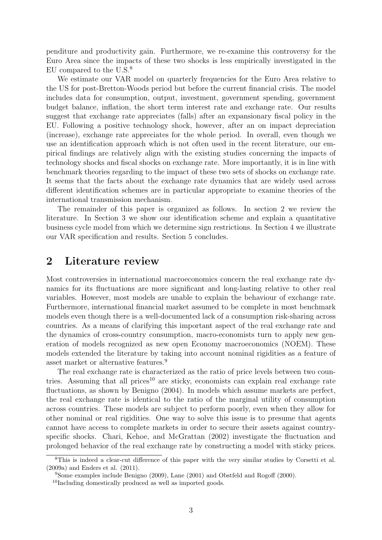penditure and productivity gain. Furthermore, we re-examine this controversy for the Euro Area since the impacts of these two shocks is less empirically investigated in the EU compared to the U.S.<sup>8</sup>

We estimate our VAR model on quarterly frequencies for the Euro Area relative to the US for post-Bretton-Woods period but before the current financial crisis. The model includes data for consumption, output, investment, government spending, government budget balance, inflation, the short term interest rate and exchange rate. Our results suggest that exchange rate appreciates (falls) after an expansionary fiscal policy in the EU. Following a positive technology shock, however, after an on impact depreciation (increase), exchange rate appreciates for the whole period. In overall, even though we use an identification approach which is not often used in the recent literature, our empirical findings are relatively align with the existing studies concerning the impacts of technology shocks and fiscal shocks on exchange rate. More importantly, it is in line with benchmark theories regarding to the impact of these two sets of shocks on exchange rate. It seems that the facts about the exchange rate dynamics that are widely used across different identification schemes are in particular appropriate to examine theories of the international transmission mechanism.

The remainder of this paper is organized as follows. In section 2 we review the literature. In Section 3 we show our identification scheme and explain a quantitative business cycle model from which we determine sign restrictions. In Section 4 we illustrate our VAR specification and results. Section 5 concludes.

## 2 Literature review

Most controversies in international macroeconomics concern the real exchange rate dynamics for its fluctuations are more significant and long-lasting relative to other real variables. However, most models are unable to explain the behaviour of exchange rate. Furthermore, international financial market assumed to be complete in most benchmark models even though there is a well-documented lack of a consumption risk-sharing across countries. As a means of clarifying this important aspect of the real exchange rate and the dynamics of cross-country consumption, macro-economists turn to apply new generation of models recognized as new open Economy macroeconomics (NOEM). These models extended the literature by taking into account nominal rigidities as a feature of asset market or alternative features.<sup>9</sup>

The real exchange rate is characterized as the ratio of price levels between two countries. Assuming that all prices<sup>10</sup> are sticky, economists can explain real exchange rate fluctuations, as shown by Benigno (2004). In models which assume markets are perfect, the real exchange rate is identical to the ratio of the marginal utility of consumption across countries. These models are subject to perform poorly, even when they allow for other nominal or real rigidities. One way to solve this issue is to presume that agents cannot have access to complete markets in order to secure their assets against countryspecific shocks. Chari, Kehoe, and McGrattan (2002) investigate the fluctuation and prolonged behavior of the real exchange rate by constructing a model with sticky prices.

<sup>8</sup>This is indeed a clear-cut difference of this paper with the very similar studies by Corsetti et al. (2009a) and Enders et al. (2011).

<sup>9</sup>Some examples include Benigno (2009), Lane (2001) and Obstfeld and Rogoff (2000).

<sup>&</sup>lt;sup>10</sup>Including domestically produced as well as imported goods.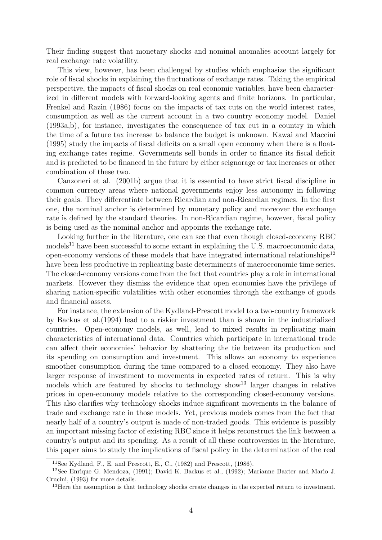Their finding suggest that monetary shocks and nominal anomalies account largely for real exchange rate volatility.

This view, however, has been challenged by studies which emphasize the significant role of fiscal shocks in explaining the fluctuations of exchange rates. Taking the empirical perspective, the impacts of fiscal shocks on real economic variables, have been characterized in different models with forward-looking agents and finite horizons. In particular, Frenkel and Razin (1986) focus on the impacts of tax cuts on the world interest rates, consumption as well as the current account in a two country economy model. Daniel (1993a,b), for instance, investigates the consequence of tax cut in a country in which the time of a future tax increase to balance the budget is unknown. Kawai and Maccini (1995) study the impacts of fiscal deficits on a small open economy when there is a floating exchange rates regime. Governments sell bonds in order to finance its fiscal deficit and is predicted to be financed in the future by either seignorage or tax increases or other combination of these two.

Canzoneri et al. (2001b) argue that it is essential to have strict fiscal discipline in common currency areas where national governments enjoy less autonomy in following their goals. They differentiate between Ricardian and non-Ricardian regimes. In the first one, the nominal anchor is determined by monetary policy and moreover the exchange rate is defined by the standard theories. In non-Ricardian regime, however, fiscal policy is being used as the nominal anchor and appoints the exchange rate.

Looking further in the literature, one can see that even though closed-economy RBC models<sup>11</sup> have been successful to some extant in explaining the U.S. macroeconomic data, open-economy versions of these models that have integrated international relationships<sup>12</sup> have been less productive in replicating basic determinents of macroeconomic time series. The closed-economy versions come from the fact that countries play a role in international markets. However they dismiss the evidence that open economies have the privilege of sharing nation-specific volatilities with other economies through the exchange of goods and financial assets.

For instance, the extension of the Kydland-Prescott model to a two-country framework by Backus et al.(1994) lead to a riskier investment than is shown in the industrialized countries. Open-economy models, as well, lead to mixed results in replicating main characteristics of international data. Countries which participate in international trade can affect their economies' behavior by shattering the tie between its production and its spending on consumption and investment. This allows an economy to experience smoother consumption during the time compared to a closed economy. They also have larger response of investment to movements in expected rates of return. This is why models which are featured by shocks to technology show<sup>13</sup> larger changes in relative prices in open-economy models relative to the corresponding closed-economy versions. This also clarifies why technology shocks induce significant movements in the balance of trade and exchange rate in those models. Yet, previous models comes from the fact that nearly half of a country's output is made of non-traded goods. This evidence is possibly an important missing factor of existing RBC since it helps reconstruct the link between a country's output and its spending. As a result of all these controversies in the literature, this paper aims to study the implications of fiscal policy in the determination of the real

<sup>&</sup>lt;sup>11</sup>See Kydland, F., E. and Prescott, E., C.,  $(1982)$  and Prescott,  $(1986)$ .

<sup>12</sup>See Enrique G. Mendoza, (1991); David K. Backus et al., (1992); Marianne Baxter and Mario J. Crucini, (1993) for more details.

<sup>&</sup>lt;sup>13</sup>Here the assumption is that technology shocks create changes in the expected return to investment.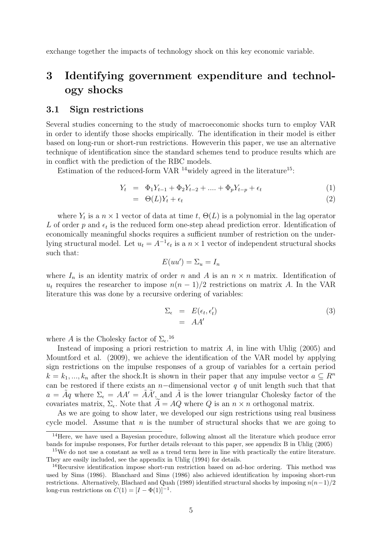exchange together the impacts of technology shock on this key economic variable.

## 3 Identifying government expenditure and technology shocks

## 3.1 Sign restrictions

Several studies concerning to the study of macroeconomic shocks turn to employ VAR in order to identify those shocks empirically. The identification in their model is either based on long-run or short-run restrictions. Howeverin this paper, we use an alternative technique of identification since the standard schemes tend to produce results which are in conflict with the prediction of the RBC models.

Estimation of the reduced-form VAR  $^{14}$ widely agreed in the literature<sup>15</sup>:

$$
Y_t = \Phi_1 Y_{t-1} + \Phi_2 Y_{t-2} + \dots + \Phi_p Y_{t-p} + \epsilon_t \tag{1}
$$

$$
= \Theta(L)Y_t + \epsilon_t \tag{2}
$$

where  $Y_t$  is a  $n \times 1$  vector of data at time t,  $\Theta(L)$  is a polynomial in the lag operator L of order p and  $\epsilon_t$  is the reduced form one-step ahead prediction error. Identification of economically meaningful shocks requires a sufficient number of restriction on the underlying structural model. Let  $u_t = A^{-1} \epsilon_t$  is a  $n \times 1$  vector of independent structural shocks such that:

$$
E(uu') = \Sigma_u = I_n
$$

where  $I_n$  is an identity matrix of order n and A is an  $n \times n$  matrix. Identification of  $u_t$  requires the researcher to impose  $n(n-1)/2$  restrictions on matrix A. In the VAR literature this was done by a recursive ordering of variables:

$$
\begin{array}{rcl}\n\Sigma_{\epsilon} & = & E(\epsilon_t, \epsilon'_t) \\
& = & AA'\n\end{array} \tag{3}
$$

where A is the Cholesky factor of  $\Sigma_{\epsilon}$ .<sup>16</sup>

Instead of imposing a priori restriction to matrix  $A$ , in line with Uhlig (2005) and Mountford et al. (2009), we achieve the identification of the VAR model by applying sign restrictions on the impulse responses of a group of variables for a certain period  $k = k_1, ..., k_n$  after the shock.It is shown in their paper that any impulse vector  $a \subseteq R^n$ can be restored if there exists an  $n$ -dimensional vector q of unit length such that that  $a = \tilde{A}q$  where  $\Sigma_{\epsilon} = AA' = \tilde{A}\tilde{A}'$ , and  $\tilde{A}$  is the lower triangular Cholesky factor of the covariates matrix,  $\Sigma_{\epsilon}$ . Note that  $A = AQ$  where Q is an  $n \times n$  orthogonal matrix.

As we are going to show later, we developed our sign restrictions using real business cycle model. Assume that  $n$  is the number of structural shocks that we are going to

<sup>&</sup>lt;sup>14</sup>Here, we have used a Bayesian procedure, following almost all the literature which produce error bands for impulse responses, For further details relevant to this paper, see appendix B in Uhlig (2005)

<sup>15</sup>We do not use a constant as well as a trend term here in line with practically the entire literature. They are easily included, see the appendix in Uhlig (1994) for details.

<sup>&</sup>lt;sup>16</sup>Recursive identification impose short-run restriction based on ad-hoc ordering. This method was used by Sims (1986). Blanchard and Sims (1986) also achieved identification by imposing short-run restrictions. Alternatively, Blachard and Quah (1989) identified structural shocks by imposing  $n(n-1)/2$ long-run restrictions on  $C(1) = [I - \Phi(1)]^{-1}$ .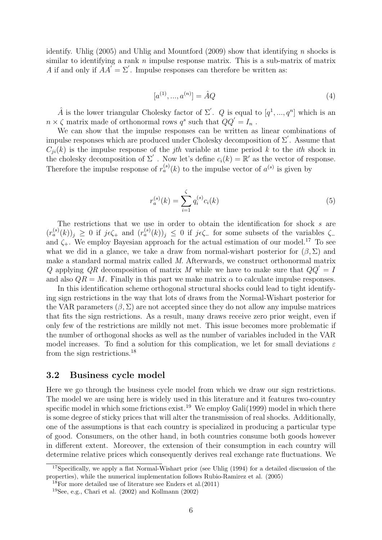identify. Uhlig (2005) and Uhlig and Mountford (2009) show that identifying n shocks is similar to identifying a rank  $n$  impulse response matrix. This is a sub-matrix of matrix A if and only if  $AA' = \Sigma'$ . Impulse responses can therefore be written as:

$$
[a^{(1)}, ..., a^{(n)}] = \hat{A}Q \tag{4}
$$

 $\hat{A}$  is the lower triangular Cholesky factor of  $\Sigma'$ . Q is equal to  $[q^1, ..., q^n]$  which is an  $n \times \zeta$  matrix made of orthonormal rows  $q^s$  such that  $QQ' = I_n$ .

We can show that the impulse responses can be written as linear combinations of impulse responses which are produced under Cholesky decomposition of  $\Sigma'$ . Assume that  $C_{ji}(k)$  is the impulse response of the *jth* variable at time period k to the *ith* shock in the cholesky decomposition of  $\Sigma'$ . Now let's define  $c_i(k) = \mathbb{R}'$  as the vector of response. Therefore the impulse response of  $r_a^{(s)}(k)$  to the impulse vector of  $a^{(s)}$  is given by

$$
r_a^{(s)}(k) = \sum_{i=1}^{\zeta} q_i^{(s)} c_i(k)
$$
 (5)

The restrictions that we use in order to obtain the identification for shock s are  $(r_a^{(s)}(k))_j \geq 0$  if  $j\epsilon\zeta_+$  and  $(r_a^{(s)}(k))_j \leq 0$  if  $j\epsilon\zeta_-$  for some subsets of the variables  $\zeta_$ and  $\zeta_{+}$ . We employ Bayesian approach for the actual estimation of our model.<sup>17</sup> To see what we did in a glance, we take a draw from normal-wishart posterior for  $(\beta, \Sigma)$  and make a standard normal matrix called M. Afterwards, we construct orthonormal matrix Q applying  $QR$  decomposition of matrix M while we have to make sure that  $QQ' = I$ and also  $QR = M$ . Finally in this part we make matrix  $\alpha$  to calculate impulse responses.

In this identification scheme orthogonal structural shocks could lead to tight identifying sign restrictions in the way that lots of draws from the Normal-Wishart posterior for the VAR parameters  $(\beta, \Sigma)$  are not accepted since they do not allow any impulse matrices that fits the sign restrictions. As a result, many draws receive zero prior weight, even if only few of the restrictions are mildly not met. This issue becomes more problematic if the number of orthogonal shocks as well as the number of variables included in the VAR model increases. To find a solution for this complication, we let for small deviations  $\varepsilon$ from the sign restrictions.<sup>18</sup>

## 3.2 Business cycle model

Here we go through the business cycle model from which we draw our sign restrictions. The model we are using here is widely used in this literature and it features two-country specific model in which some frictions exist.<sup>19</sup> We employ Gali(1999) model in which there is some degree of sticky prices that will alter the transmission of real shocks. Additionally, one of the assumptions is that each country is specialized in producing a particular type of good. Consumers, on the other hand, in both countries consume both goods however in different extent. Moreover, the extension of their consumption in each country will determine relative prices which consequently derives real exchange rate fluctuations. We

 $17$ Specifically, we apply a flat Normal-Wishart prior (see Uhlig (1994) for a detailed discussion of the properties), while the numerical implementation follows Rubio-Ramirez et al. (2005)

<sup>&</sup>lt;sup>18</sup>For more detailed use of literature see Enders et al.  $(2011)$ 

 $19$ See, e.g., Chari et al. (2002) and Kollmann (2002)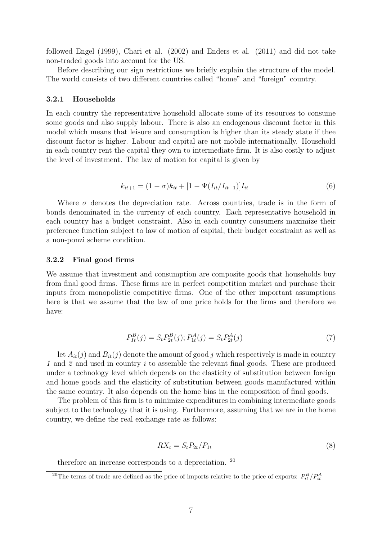followed Engel (1999), Chari et al. (2002) and Enders et al. (2011) and did not take non-traded goods into account for the US.

Before describing our sign restrictions we briefly explain the structure of the model. The world consists of two different countries called "home" and "foreign" country.

#### 3.2.1 Households

In each country the representative household allocate some of its resources to consume some goods and also supply labour. There is also an endogenous discount factor in this model which means that leisure and consumption is higher than its steady state if thee discount factor is higher. Labour and capital are not mobile internationally. Household in each country rent the capital they own to intermediate firm. It is also costly to adjust the level of investment. The law of motion for capital is given by

$$
k_{it+1} = (1 - \sigma)k_{it} + [1 - \Psi(I_{it}/I_{it-1})]I_{it}
$$
\n(6)

Where  $\sigma$  denotes the depreciation rate. Across countries, trade is in the form of bonds denominated in the currency of each country. Each representative household in each country has a budget constraint. Also in each country consumers maximize their preference function subject to law of motion of capital, their budget constraint as well as a non-ponzi scheme condition.

#### 3.2.2 Final good firms

We assume that investment and consumption are composite goods that households buy from final good firms. These firms are in perfect competition market and purchase their inputs from monopolistic competitive firms. One of the other important assumptions here is that we assume that the law of one price holds for the firms and therefore we have:

$$
P_{It}^B(j) = S_t P_{2t}^B(j); P_{1t}^A(j) = S_t P_{2t}^A(j)
$$
\n<sup>(7)</sup>

let  $A_{it}(j)$  and  $B_{it}(j)$  denote the amount of good j which respectively is made in country 1 and 2 and used in country i to assemble the relevant final goods. These are produced under a technology level which depends on the elasticity of substitution between foreign and home goods and the elasticity of substitution between goods manufactured within the same country. It also depends on the home bias in the composition of final goods.

The problem of this firm is to minimize expenditures in combining intermediate goods subject to the technology that it is using. Furthermore, assuming that we are in the home country, we define the real exchange rate as follows:

$$
RX_t = S_t P_{2t} / P_{1t} \tag{8}
$$

therefore an increase corresponds to a depreciation. <sup>20</sup>

<sup>&</sup>lt;sup>20</sup>The terms of trade are defined as the price of imports relative to the price of exports:  $P_{it}^B/P_{it}^A$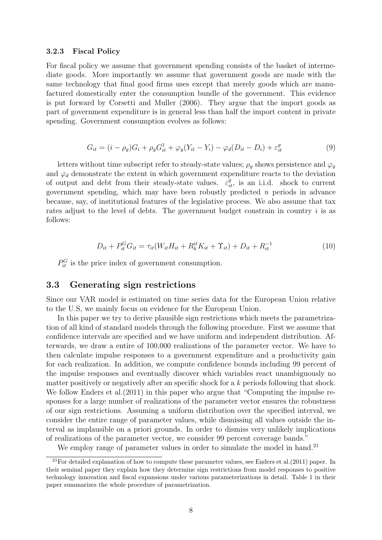#### 3.2.3 Fiscal Policy

For fiscal policy we assume that government spending consists of the basket of intermediate goods. More importantly we assume that government goods are made with the same technology that final good firms uses except that merely goods which are manufactured domestically enter the consumption bundle of the government. This evidence is put forward by Corsetti and Muller (2006). They argue that the import goods as part of government expenditure is in general less than half the import content in private spending. Government consumption evolves as follows:

$$
G_{it} = (i - \rho_g)G_i + \rho_g G_{it}^1 + \varphi_y (Y_{it} - Y_i) - \varphi_d (D_{it} - D_i) + \varepsilon_{it}^g
$$
\n(9)

letters without time subscript refer to steady-state values;  $\rho_q$  shows persistence and  $\varphi_y$ and  $\varphi_d$  demonstrate the extent in which government expenditure reacts to the deviation of output and debt from their steady-state values.  $\varepsilon_{it}^g$ , is an i.i.d. shock to current government spending, which may have been robustly predicted  $n$  periods in advance because, say, of institutional features of the legislative process. We also assume that tax rates adjust to the level of debts. The government budget constrain in country  $i$  is as follows:

$$
D_{it} + P_{it}^{G} G_{it} = \tau_{it}(W_{it} H_{it} + R_{k}^{it} K_{it} + \Upsilon_{it}) + D_{it} + R_{it}^{-1}
$$
\n(10)

 $P_{it}^G$  is the price index of government consumption.

#### 3.3 Generating sign restrictions

Since our VAR model is estimated on time series data for the European Union relative to the U.S, we mainly focus on evidence for the European Union.

In this paper we try to derive plausible sign restrictions which meets the parametrization of all kind of standard models through the following procedure. First we assume that confidence intervals are specified and we have uniform and independent distribution. Afterwards, we draw a entire of 100,000 realizations of the parameter vector. We have to then calculate impulse responses to a government expenditure and a productivity gain for each realization. In addition, we compute confidence bounds including 99 percent of the impulse responses and eventually discover which variables react unambiguously no matter positively or negatively after an specific shock for a k periods following that shock. We follow Enders et al.(2011) in this paper who argue that "Computing the impulse responses for a large number of realizations of the parameter vector ensures the robustness of our sign restrictions. Assuming a uniform distribution over the specified interval, we consider the entire range of parameter values, while dismissing all values outside the interval as implausible on a priori grounds. In order to dismiss very unlikely implications of realizations of the parameter vector, we consider 99 percent coverage bands."

We employ range of parameter values in order to simulate the model in hand.<sup>21</sup>

 $^{21}$ For detailed explanation of how to compute these parameter values, see Enders et al.(2011) paper. In their seminal paper they explain how they determine sign restrictions from model responses to positive technology innovation and fiscal expansions under various parameterizations in detail. Table 1 in their paper summarizes the whole procedure of parametrization.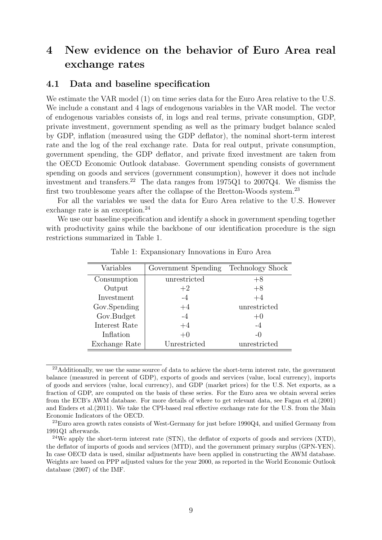## 4 New evidence on the behavior of Euro Area real exchange rates

## 4.1 Data and baseline specification

We estimate the VAR model (1) on time series data for the Euro Area relative to the U.S. We include a constant and 4 lags of endogenous variables in the VAR model. The vector of endogenous variables consists of, in logs and real terms, private consumption, GDP, private investment, government spending as well as the primary budget balance scaled by GDP, inflation (measured using the GDP deflator), the nominal short-term interest rate and the log of the real exchange rate. Data for real output, private consumption, government spending, the GDP deflator, and private fixed investment are taken from the OECD Economic Outlook database. Government spending consists of government spending on goods and services (government consumption), however it does not include investment and transfers.<sup>22</sup> The data ranges from  $1975Q1$  to  $2007Q4$ . We dismiss the first two troublesome years after the collapse of the Bretton-Woods system.<sup>23</sup>

For all the variables we used the data for Euro Area relative to the U.S. However exchange rate is an exception.<sup>24</sup>

We use our baseline specification and identify a shock in government spending together with productivity gains while the backbone of our identification procedure is the sign restrictions summarized in Table 1.

| Variables     | Government Spending | <b>Technology Shock</b> |
|---------------|---------------------|-------------------------|
| Consumption   | unrestricted        | $+8$                    |
| Output        | $+2$                | $+8$                    |
| Investment    | $-4$                | $+4$                    |
| Gov.Spending  | $+4$                | unrestricted            |
| Gov.Budget    | $-4$                | $+0$                    |
| Interest Rate | $+4$                | $-4$                    |
| Inflation     | $+0$                | $-0$                    |
| Exchange Rate | Unrestricted        | unrestricted            |

Table 1: Expansionary Innovations in Euro Area

<sup>&</sup>lt;sup>22</sup>Additionally, we use the same source of data to achieve the short-term interest rate, the government balance (measured in percent of GDP), exports of goods and services (value, local currency), imports of goods and services (value, local currency), and GDP (market prices) for the U.S. Net exports, as a fraction of GDP, are computed on the basis of these series. For the Euro area we obtain several series from the ECB's AWM database. For more details of where to get relevant data, see Fagan et al.(2001) and Enders et al.(2011). We take the CPI-based real effective exchange rate for the U.S. from the Main Economic Indicators of the OECD.

<sup>&</sup>lt;sup>23</sup>Euro area growth rates consists of West-Germany for just before 1990Q4, and unified Germany from 1991Q1 afterwards.

<sup>&</sup>lt;sup>24</sup>We apply the short-term interest rate (STN), the deflator of exports of goods and services (XTD), the deflator of imports of goods and services (MTD), and the government primary surplus (GPN-YEN). In case OECD data is used, similar adjustments have been applied in constructing the AWM database. Weights are based on PPP adjusted values for the year 2000, as reported in the World Economic Outlook database (2007) of the IMF.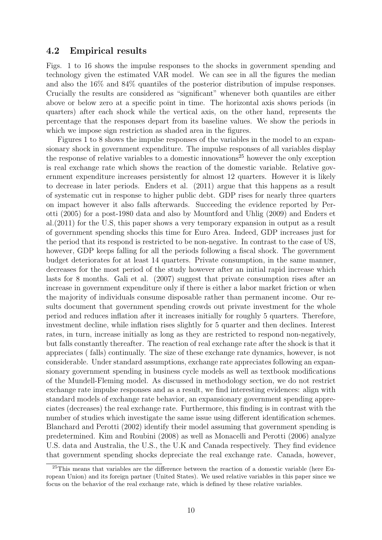## 4.2 Empirical results

Figs. 1 to 16 shows the impulse responses to the shocks in government spending and technology given the estimated VAR model. We can see in all the figures the median and also the 16% and 84% quantiles of the posterior distribution of impulse responses. Crucially the results are considered as "significant" whenever both quantiles are either above or below zero at a specific point in time. The horizontal axis shows periods (in quarters) after each shock while the vertical axis, on the other hand, represents the percentage that the responses depart from its baseline values. We show the periods in which we impose sign restriction as shaded area in the figures.

Figures 1 to 8 shows the impulse responses of the variables in the model to an expansionary shock in government expenditure. The impulse responses of all variables display the response of relative variables to a domestic innovations <sup>25</sup> however the only exception is real exchange rate which shows the reaction of the domestic variable. Relative government expenditure increases persistently for almost 12 quarters. However it is likely to decrease in later periods. Enders et al. (2011) argue that this happens as a result of systematic cut in response to higher public debt. GDP rises for nearly three quarters on impact however it also falls afterwards. Succeeding the evidence reported by Perotti (2005) for a post-1980 data and also by Mountford and Uhlig (2009) and Enders et al.(2011) for the U.S, this paper shows a very temporary expansion in output as a result of government spending shocks this time for Euro Area. Indeed, GDP increases just for the period that its respond is restricted to be non-negative. In contrast to the case of US, however, GDP keeps falling for all the periods following a fiscal shock. The government budget deteriorates for at least 14 quarters. Private consumption, in the same manner, decreases for the most period of the study however after an initial rapid increase which lasts for 8 months. Gali et al. (2007) suggest that private consumption rises after an increase in government expenditure only if there is either a labor market friction or when the majority of individuals consume disposable rather than permanent income. Our results document that government spending crowds out private investment for the whole period and reduces inflation after it increases initially for roughly 5 quarters. Therefore, investment decline, while inflation rises slightly for 5 quarter and then declines. Interest rates, in turn, increase initially as long as they are restricted to respond non-negatively, but falls constantly thereafter. The reaction of real exchange rate after the shock is that it appreciates ( falls) continually. The size of these exchange rate dynamics, however, is not considerable. Under standard assumptions, exchange rate appreciates following an expansionary government spending in business cycle models as well as textbook modifications of the Mundell-Fleming model. As discussed in methodology section, we do not restrict exchange rate impulse responses and as a result, we find interesting evidences: align with standard models of exchange rate behavior, an expansionary government spending appreciates (decreases) the real exchange rate. Furthermore, this finding is in contrast with the number of studies which investigate the same issue using different identification schemes. Blanchard and Perotti (2002) identify their model assuming that government spending is predetermined. Kim and Roubini (2008) as well as Monacelli and Perotti (2006) analyze U.S. data and Australia, the U.S., the U.K and Canada respectively. They find evidence that government spending shocks depreciate the real exchange rate. Canada, however,

 $25$ This means that variables are the difference between the reaction of a domestic variable (here European Union) and its foreign partner (United States). We used relative variables in this paper since we focus on the behavior of the real exchange rate, which is defined by these relative variables.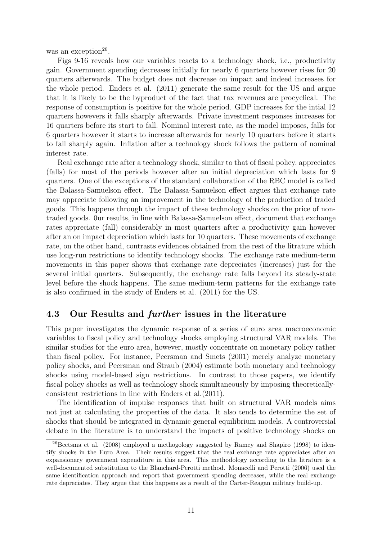was an exception<sup>26</sup>.

Figs 9-16 reveals how our variables reacts to a technology shock, i.e., productivity gain. Government spending decreases initially for nearly 6 quarters however rises for 20 quarters afterwards. The budget does not decrease on impact and indeed increases for the whole period. Enders et al. (2011) generate the same result for the US and argue that it is likely to be the byproduct of the fact that tax revenues are procyclical. The response of consumption is positive for the whole period. GDP increases for the intial 12 quarters howevers it falls sharply afterwards. Private investment responses increases for 16 quarters before its start to fall. Nominal interest rate, as the model imposes, falls for 6 quarters however it starts to increase afterwards for nearly 10 quarters before it starts to fall sharply again. Inflation after a technology shock follows the pattern of nominal interest rate.

Real exchange rate after a technology shock, similar to that of fiscal policy, appreciates (falls) for most of the periods however after an initial depreciation which lasts for 9 quarters. One of the exceptions of the standard collaboration of the RBC model is called the Balassa-Samuelson effect. The Balassa-Samuelson effect argues that exchange rate may appreciate following an improvement in the technology of the production of traded goods. This happens through the impact of these technology shocks on the price of nontraded goods. 0ur results, in line with Balassa-Samuelson effect, document that exchange rates appreciate (fall) considerably in most quarters after a productivity gain however after an on impact depreciation which lasts for 10 quarters. These movements of exchange rate, on the other hand, contrasts evidences obtained from the rest of the litrature which use long-run restrictions to identify technology shocks. The exchange rate medium-term movements in this paper shows that exchange rate depreciates (increases) just for the several initial quarters. Subsequently, the exchange rate falls beyond its steady-state level before the shock happens. The same medium-term patterns for the exchange rate is also confirmed in the study of Enders et al. (2011) for the US.

### 4.3 Our Results and further issues in the literature

This paper investigates the dynamic response of a series of euro area macroeconomic variables to fiscal policy and technology shocks employing structural VAR models. The similar studies for the euro area, however, mostly concentrate on monetary policy rather than fiscal policy. For instance, Peersman and Smets (2001) merely analyze monetary policy shocks, and Peersman and Straub (2004) estimate both monetary and technology shocks using model-based sign restrictions. In contrast to those papers, we identify fiscal policy shocks as well as technology shock simultaneously by imposing theoreticallyconsistent restrictions in line with Enders et al.(2011).

The identification of impulse responses that built on structural VAR models aims not just at calculating the properties of the data. It also tends to determine the set of shocks that should be integrated in dynamic general equilibrium models. A controversial debate in the literature is to understand the impacts of positive technology shocks on

 $^{26}$ Beetsma et al. (2008) employed a methogology suggested by Ramey and Shapiro (1998) to identify shocks in the Euro Area. Their results suggest that the real exchange rate appreciates after an expansionary government expenditure in this area. This methodology according to the litrature is a well-documented substitution to the Blanchard-Perotti method. Monacelli and Perotti (2006) used the same identification approach and report that government spending decreases, while the real exchange rate depreciates. They argue that this happens as a result of the Carter-Reagan military build-up.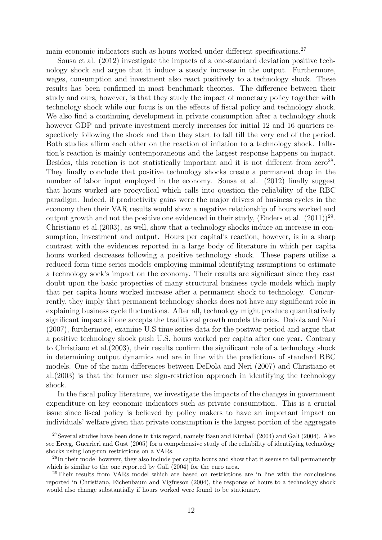main economic indicators such as hours worked under different specifications.<sup>27</sup>

Sousa et al. (2012) investigate the impacts of a one-standard deviation positive technology shock and argue that it induce a steady increase in the output. Furthermore, wages, consumption and investment also react positively to a technology shock. These results has been confirmed in most benchmark theories. The difference between their study and ours, however, is that they study the impact of monetary policy together with technology shock while our focus is on the effects of fiscal policy and technology shock. We also find a continuing development in private consumption after a technology shock however GDP and private investment merely increases for initial 12 and 16 quarters respectively following the shock and then they start to fall till the very end of the period. Both studies affirm each other on the reaction of inflation to a technology shock. Inflation's reaction is mainly contemporaneous and the largest response happens on impact. Besides, this reaction is not statistically important and it is not different from  $zero^{28}$ . They finally conclude that positive technology shocks create a permanent drop in the number of labor input employed in the economy. Sousa et al. (2012) finally suggest that hours worked are procyclical which calls into question the reliability of the RBC paradigm. Indeed, if productivity gains were the major drivers of business cycles in the economy then their VAR results would show a negative relationship of hours worked and output growth and not the positive one evidenced in their study, (Enders et al.  $(2011)$ )<sup>29</sup>. Christiano et al.(2003), as well, show that a technology shocks induce an increase in consumption, investment and output. Hours per capital's reaction, however, is in a sharp contrast with the evidences reported in a large body of literature in which per capita hours worked decreases following a positive technology shock. These papers utilize a reduced form time series models employing minimal identifying assumptions to estimate a technology sock's impact on the economy. Their results are significant since they cast doubt upon the basic properties of many structural business cycle models which imply that per capita hours worked increase after a permanent shock to technology. Concurrently, they imply that permanent technology shocks does not have any significant role in explaining business cycle fluctuations. After all, technology might produce quantitatively significant impacts if one accepts the traditional growth models theories. Dedola and Neri (2007), furthermore, examine U.S time series data for the postwar period and argue that a positive technology shock push U.S. hours worked per capita after one year. Contrary to Christiano et al.(2003), their results confirm the significant role of a technology shock in determining output dynamics and are in line with the predictions of standard RBC models. One of the main differences between DeDola and Neri (2007) and Christiano et al.(2003) is that the former use sign-restriction approach in identifying the technology shock.

In the fiscal policy literature, we investigate the impacts of the changes in government expenditure on key economic indicators such as private consumption. This is a crucial issue since fiscal policy is believed by policy makers to have an important impact on individuals' welfare given that private consumption is the largest portion of the aggregate

<sup>27</sup>Several studies have been done in this regard, namely Basu and Kimball (2004) and Gali (2004). Also see Erceg, Guerrieri and Gust (2005) for a compehensive study of the reliability of identifying technology shocks using long-run restrictions on a VARs.

<sup>&</sup>lt;sup>28</sup>In their model however, they also include per capita hours and show that it seems to fall permanently which is similar to the one reported by Gali  $(2004)$  for the euro area.

<sup>29</sup>Their results from VARs model which are based on restrictions are in line with the conclusions reported in Christiano, Eichenbaum and Vigfusson (2004), the response of hours to a technology shock would also change substantially if hours worked were found to be stationary.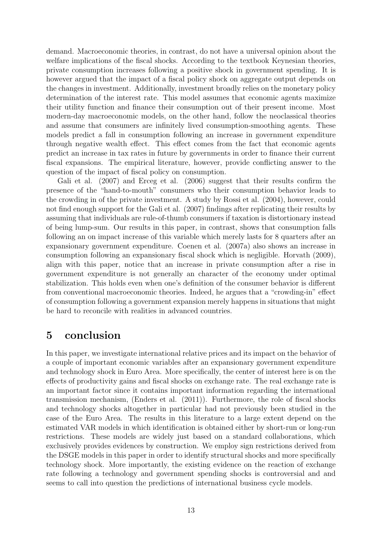demand. Macroeconomic theories, in contrast, do not have a universal opinion about the welfare implications of the fiscal shocks. According to the textbook Keynesian theories, private consumption increases following a positive shock in government spending. It is however argued that the impact of a fiscal policy shock on aggregate output depends on the changes in investment. Additionally, investment broadly relies on the monetary policy determination of the interest rate. This model assumes that economic agents maximize their utility function and finance their consumption out of their present income. Most modern-day macroeconomic models, on the other hand, follow the neoclassical theories and assume that consumers are infinitely lived consumption-smoothing agents. These models predict a fall in consumption following an increase in government expenditure through negative wealth effect. This effect comes from the fact that economic agents predict an increase in tax rates in future by governments in order to finance their current fiscal expansions. The empirical literature, however, provide conflicting answer to the question of the impact of fiscal policy on consumption.

Gali et al. (2007) and Erceg et al. (2006) suggest that their results confirm the presence of the "hand-to-mouth" consumers who their consumption behavior leads to the crowding in of the private investment. A study by Rossi et al. (2004), however, could not find enough support for the Gali et al. (2007) findings after replicating their results by assuming that individuals are rule-of-thumb consumers if taxation is distortionary instead of being lump-sum. Our results in this paper, in contrast, shows that consumption falls following an on impact increase of this variable which merely lasts for 8 quarters after an expansionary government expenditure. Coenen et al. (2007a) also shows an increase in consumption following an expansionary fiscal shock which is negligible. Horvath (2009), align with this paper, notice that an increase in private consumption after a rise in government expenditure is not generally an character of the economy under optimal stabilization. This holds even when one's definition of the consumer behavior is different from conventional macroeconomic theories. Indeed, he argues that a "crowding-in" effect of consumption following a government expansion merely happens in situations that might be hard to reconcile with realities in advanced countries.

## 5 conclusion

In this paper, we investigate international relative prices and its impact on the behavior of a couple of important economic variables after an expansionary government expenditure and technology shock in Euro Area. More specifically, the center of interest here is on the effects of productivity gains and fiscal shocks on exchange rate. The real exchange rate is an important factor since it contains important information regarding the international transmission mechanism, (Enders et al. (2011)). Furthermore, the role of fiscal shocks and technology shocks altogether in particular had not previously been studied in the case of the Euro Area. The results in this literature to a large extent depend on the estimated VAR models in which identification is obtained either by short-run or long-run restrictions. These models are widely just based on a standard collaborations, which exclusively provides evidences by construction. We employ sign restrictions derived from the DSGE models in this paper in order to identify structural shocks and more specifically technology shock. More importantly, the existing evidence on the reaction of exchange rate following a technology and government spending shocks is controversial and and seems to call into question the predictions of international business cycle models.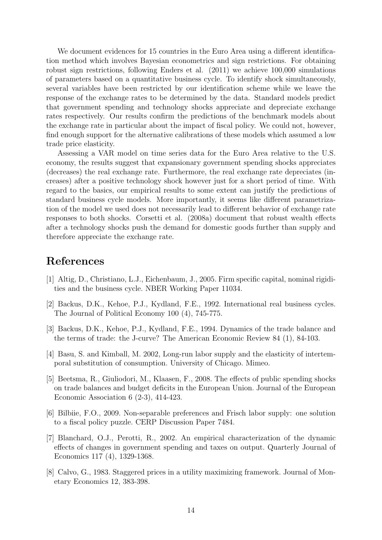We document evidences for 15 countries in the Euro Area using a different identification method which involves Bayesian econometrics and sign restrictions. For obtaining robust sign restrictions, following Enders et al. (2011) we achieve 100,000 simulations of parameters based on a quantitative business cycle. To identify shock simultaneously, several variables have been restricted by our identification scheme while we leave the response of the exchange rates to be determined by the data. Standard models predict that government spending and technology shocks appreciate and depreciate exchange rates respectively. Our results confirm the predictions of the benchmark models about the exchange rate in particular about the impact of fiscal policy. We could not, however, find enough support for the alternative calibrations of these models which assumed a low trade price elasticity.

Assessing a VAR model on time series data for the Euro Area relative to the U.S. economy, the results suggest that expansionary government spending shocks appreciates (decreases) the real exchange rate. Furthermore, the real exchange rate depreciates (increases) after a positive technology shock however just for a short period of time. With regard to the basics, our empirical results to some extent can justify the predictions of standard business cycle models. More importantly, it seems like different parametrization of the model we used does not necessarily lead to different behavior of exchange rate responses to both shocks. Corsetti et al. (2008a) document that robust wealth effects after a technology shocks push the demand for domestic goods further than supply and therefore appreciate the exchange rate.

## References

- [1] Altig, D., Christiano, L.J., Eichenbaum, J., 2005. Firm specific capital, nominal rigidities and the business cycle. NBER Working Paper 11034.
- [2] Backus, D.K., Kehoe, P.J., Kydland, F.E., 1992. International real business cycles. The Journal of Political Economy 100 (4), 745-775.
- [3] Backus, D.K., Kehoe, P.J., Kydland, F.E., 1994. Dynamics of the trade balance and the terms of trade: the J-curve? The American Economic Review 84 (1), 84-103.
- [4] Basu, S. and Kimball, M. 2002, Long-run labor supply and the elasticity of intertemporal substitution of consumption. University of Chicago. Mimeo.
- [5] Beetsma, R., Giuliodori, M., Klaasen, F., 2008. The effects of public spending shocks on trade balances and budget deficits in the European Union. Journal of the European Economic Association 6 (2-3), 414-423.
- [6] Bilbiie, F.O., 2009. Non-separable preferences and Frisch labor supply: one solution to a fiscal policy puzzle. CERP Discussion Paper 7484.
- [7] Blanchard, O.J., Perotti, R., 2002. An empirical characterization of the dynamic effects of changes in government spending and taxes on output. Quarterly Journal of Economics 117 (4), 1329-1368.
- [8] Calvo, G., 1983. Staggered prices in a utility maximizing framework. Journal of Monetary Economics 12, 383-398.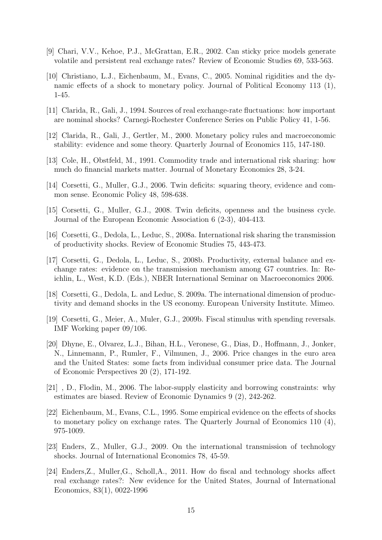- [9] Chari, V.V., Kehoe, P.J., McGrattan, E.R., 2002. Can sticky price models generate volatile and persistent real exchange rates? Review of Economic Studies 69, 533-563.
- [10] Christiano, L.J., Eichenbaum, M., Evans, C., 2005. Nominal rigidities and the dynamic effects of a shock to monetary policy. Journal of Political Economy 113 (1), 1-45.
- [11] Clarida, R., Gali, J., 1994. Sources of real exchange-rate fluctuations: how important are nominal shocks? Carnegi-Rochester Conference Series on Public Policy 41, 1-56.
- [12] Clarida, R., Gali, J., Gertler, M., 2000. Monetary policy rules and macroeconomic stability: evidence and some theory. Quarterly Journal of Economics 115, 147-180.
- [13] Cole, H., Obstfeld, M., 1991. Commodity trade and international risk sharing: how much do financial markets matter. Journal of Monetary Economics 28, 3-24.
- [14] Corsetti, G., Muller, G.J., 2006. Twin deficits: squaring theory, evidence and common sense. Economic Policy 48, 598-638.
- [15] Corsetti, G., Muller, G.J., 2008. Twin deficits, openness and the business cycle. Journal of the European Economic Association 6 (2-3), 404-413.
- [16] Corsetti, G., Dedola, L., Leduc, S., 2008a. International risk sharing the transmission of productivity shocks. Review of Economic Studies 75, 443-473.
- [17] Corsetti, G., Dedola, L., Leduc, S., 2008b. Productivity, external balance and exchange rates: evidence on the transmission mechanism among G7 countries. In: Reichlin, L., West, K.D. (Eds.), NBER International Seminar on Macroeconomics 2006.
- [18] Corsetti, G., Dedola, L. and Leduc, S. 2009a. The international dimension of productivity and demand shocks in the US economy. European University Institute. Mimeo.
- [19] Corsetti, G., Meier, A., Muler, G.J., 2009b. Fiscal stimulus with spending reversals. IMF Working paper 09/106.
- [20] Dhyne, E., Olvarez, L.J., Bihan, H.L., Veronese, G., Dias, D., Hoffmann, J., Jonker, N., Linnemann, P., Rumler, F., Vilmunen, J., 2006. Price changes in the euro area and the United States: some facts from individual consumer price data. The Journal of Economic Perspectives 20 (2), 171-192.
- [21] , D., Flodin, M., 2006. The labor-supply elasticity and borrowing constraints: why estimates are biased. Review of Economic Dynamics 9 (2), 242-262.
- [22] Eichenbaum, M., Evans, C.L., 1995. Some empirical evidence on the effects of shocks to monetary policy on exchange rates. The Quarterly Journal of Economics 110 (4), 975-1009.
- [23] Enders, Z., Muller, G.J., 2009. On the international transmission of technology shocks. Journal of International Economics 78, 45-59.
- [24] Enders,Z., Muller,G., Scholl,A., 2011. How do fiscal and technology shocks affect real exchange rates?: New evidence for the United States, Journal of International Economics, 83(1), 0022-1996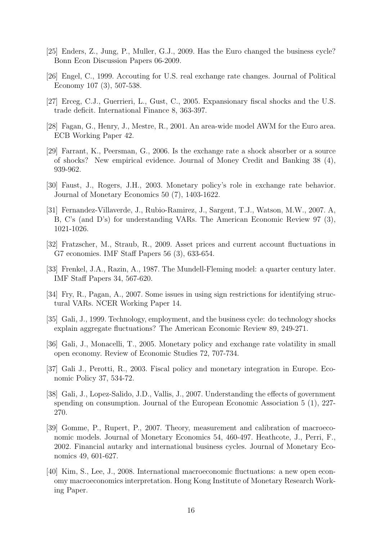- [25] Enders, Z., Jung, P., Muller, G.J., 2009. Has the Euro changed the business cycle? Bonn Econ Discussion Papers 06-2009.
- [26] Engel, C., 1999. Accouting for U.S. real exchange rate changes. Journal of Political Economy 107 (3), 507-538.
- [27] Erceg, C.J., Guerrieri, L., Gust, C., 2005. Expansionary fiscal shocks and the U.S. trade deficit. International Finance 8, 363-397.
- [28] Fagan, G., Henry, J., Mestre, R., 2001. An area-wide model AWM for the Euro area. ECB Working Paper 42.
- [29] Farrant, K., Peersman, G., 2006. Is the exchange rate a shock absorber or a source of shocks? New empirical evidence. Journal of Money Credit and Banking 38 (4), 939-962.
- [30] Faust, J., Rogers, J.H., 2003. Monetary policy's role in exchange rate behavior. Journal of Monetary Economics 50 (7), 1403-1622.
- [31] Fernandez-Villaverde, J., Rubio-Ramirez, J., Sargent, T.J., Watson, M.W., 2007. A, B, C's (and D's) for understanding VARs. The American Economic Review 97 (3), 1021-1026.
- [32] Fratzscher, M., Straub, R., 2009. Asset prices and current account fluctuations in G7 economies. IMF Staff Papers 56 (3), 633-654.
- [33] Frenkel, J.A., Razin, A., 1987. The Mundell-Fleming model: a quarter century later. IMF Staff Papers 34, 567-620.
- [34] Fry, R., Pagan, A., 2007. Some issues in using sign restrictions for identifying structural VARs. NCER Working Paper 14.
- [35] Gali, J., 1999. Technology, employment, and the business cycle: do technology shocks explain aggregate fluctuations? The American Economic Review 89, 249-271.
- [36] Gali, J., Monacelli, T., 2005. Monetary policy and exchange rate volatility in small open economy. Review of Economic Studies 72, 707-734.
- [37] Gali J., Perotti, R., 2003. Fiscal policy and monetary integration in Europe. Economic Policy 37, 534-72.
- [38] Gali, J., Lopez-Salido, J.D., Vallis, J., 2007. Understanding the effects of government spending on consumption. Journal of the European Economic Association 5 (1), 227- 270.
- [39] Gomme, P., Rupert, P., 2007. Theory, measurement and calibration of macroeconomic models. Journal of Monetary Economics 54, 460-497. Heathcote, J., Perri, F., 2002. Financial autarky and international business cycles. Journal of Monetary Economics 49, 601-627.
- [40] Kim, S., Lee, J., 2008. International macroeconomic fluctuations: a new open economy macroeconomics interpretation. Hong Kong Institute of Monetary Research Working Paper.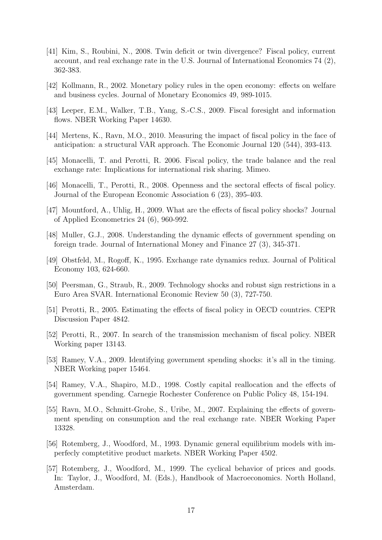- [41] Kim, S., Roubini, N., 2008. Twin deficit or twin divergence? Fiscal policy, current account, and real exchange rate in the U.S. Journal of International Economics 74 (2), 362-383.
- [42] Kollmann, R., 2002. Monetary policy rules in the open economy: effects on welfare and business cycles. Journal of Monetary Economics 49, 989-1015.
- [43] Leeper, E.M., Walker, T.B., Yang, S.-C.S., 2009. Fiscal foresight and information flows. NBER Working Paper 14630.
- [44] Mertens, K., Ravn, M.O., 2010. Measuring the impact of fiscal policy in the face of anticipation: a structural VAR approach. The Economic Journal 120 (544), 393-413.
- [45] Monacelli, T. and Perotti, R. 2006. Fiscal policy, the trade balance and the real exchange rate: Implications for international risk sharing. Mimeo.
- [46] Monacelli, T., Perotti, R., 2008. Openness and the sectoral effects of fiscal policy. Journal of the European Economic Association 6 (23), 395-403.
- [47] Mountford, A., Uhlig, H., 2009. What are the effects of fiscal policy shocks? Journal of Applied Econometrics 24 (6), 960-992.
- [48] Muller, G.J., 2008. Understanding the dynamic effects of government spending on foreign trade. Journal of International Money and Finance 27 (3), 345-371.
- [49] Obstfeld, M., Rogoff, K., 1995. Exchange rate dynamics redux. Journal of Political Economy 103, 624-660.
- [50] Peersman, G., Straub, R., 2009. Technology shocks and robust sign restrictions in a Euro Area SVAR. International Economic Review 50 (3), 727-750.
- [51] Perotti, R., 2005. Estimating the effects of fiscal policy in OECD countries. CEPR Discussion Paper 4842.
- [52] Perotti, R., 2007. In search of the transmission mechanism of fiscal policy. NBER Working paper 13143.
- [53] Ramey, V.A., 2009. Identifying government spending shocks: it's all in the timing. NBER Working paper 15464.
- [54] Ramey, V.A., Shapiro, M.D., 1998. Costly capital reallocation and the effects of government spending. Carnegie Rochester Conference on Public Policy 48, 154-194.
- [55] Ravn, M.O., Schmitt-Grohe, S., Uribe, M., 2007. Explaining the effects of government spending on consumption and the real exchange rate. NBER Working Paper 13328.
- [56] Rotemberg, J., Woodford, M., 1993. Dynamic general equilibrium models with imperfecly comptetitive product markets. NBER Working Paper 4502.
- [57] Rotemberg, J., Woodford, M., 1999. The cyclical behavior of prices and goods. In: Taylor, J., Woodford, M. (Eds.), Handbook of Macroeconomics. North Holland, Amsterdam.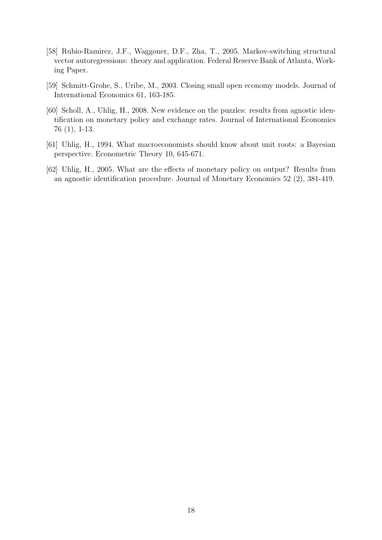- [58] Rubio-Ramirez, J.F., Waggoner, D.F., Zha, T., 2005. Markov-switching structural vector autoregressions: theory and application. Federal Reserve Bank of Atlanta, Working Paper.
- [59] Schmitt-Grohe, S., Uribe, M., 2003. Closing small open economy models. Journal of International Economics 61, 163-185.
- [60] Scholl, A., Uhlig, H., 2008. New evidence on the puzzles: results from agnostic identification on monetary policy and exchange rates. Journal of International Economics 76 (1), 1-13.
- [61] Uhlig, H., 1994. What macroeconomists should know about unit roots: a Bayesian perspective. Econometric Theory 10, 645-671.
- [62] Uhlig, H., 2005. What are the effects of monetary policy on output? Results from an agnostic identification procedure. Journal of Monetary Economics 52 (2), 381-419.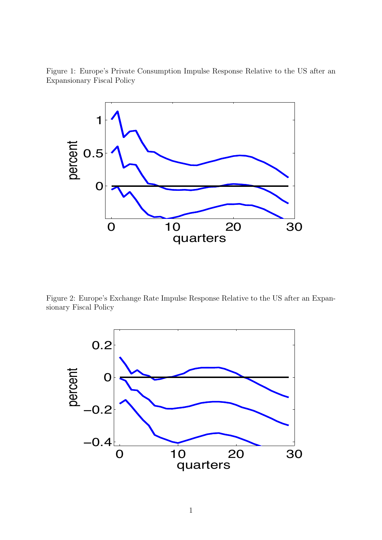Figure 1: Europe's Private Consumption Impulse Response Relative to the US after an Expansionary Fiscal Policy



Figure 2: Europe's Exchange Rate Impulse Response Relative to the US after an Expansionary Fiscal Policy

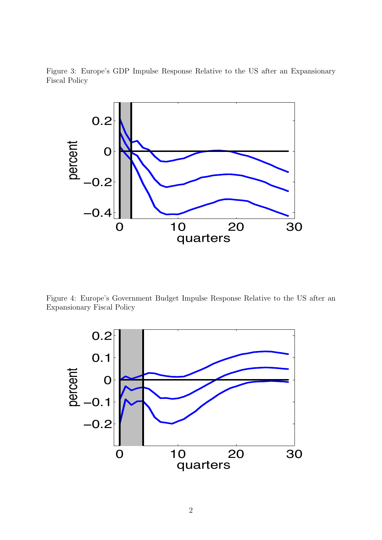Figure 3: Europe's GDP Impulse Response Relative to the US after an Expansionary Fiscal Policy



Figure 4: Europe's Government Budget Impulse Response Relative to the US after an Expansionary Fiscal Policy

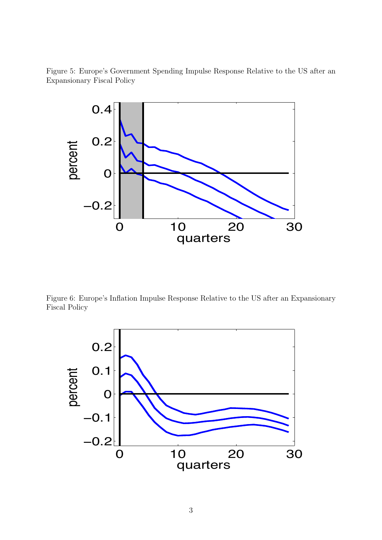Figure 5: Europe's Government Spending Impulse Response Relative to the US after an Expansionary Fiscal Policy



Figure 6: Europe's Inflation Impulse Response Relative to the US after an Expansionary Fiscal Policy

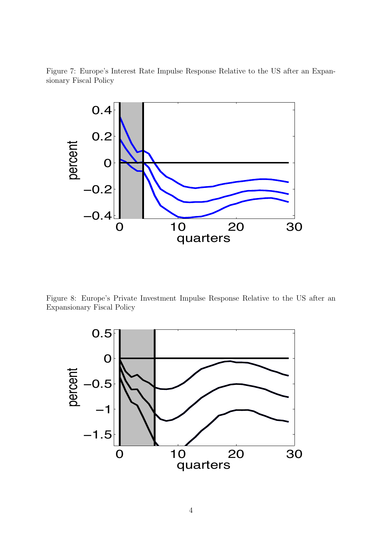Figure 7: Europe's Interest Rate Impulse Response Relative to the US after an Expansionary Fiscal Policy



Figure 8: Europe's Private Investment Impulse Response Relative to the US after an Expansionary Fiscal Policy

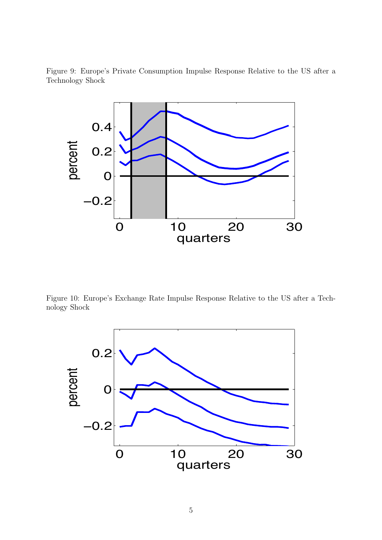Figure 9: Europe's Private Consumption Impulse Response Relative to the US after a Technology Shock



Figure 10: Europe's Exchange Rate Impulse Response Relative to the US after a Technology Shock

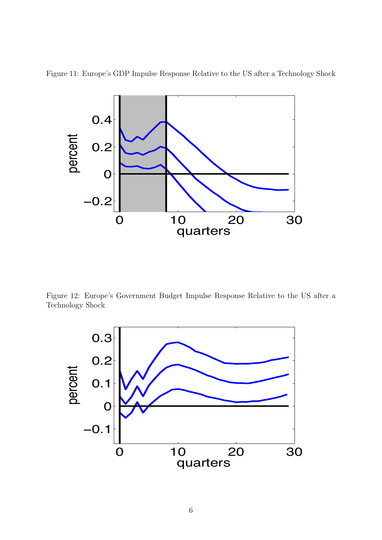



Figure 12: Europe's Government Budget Impulse Response Relative to the US after a Technology Shock

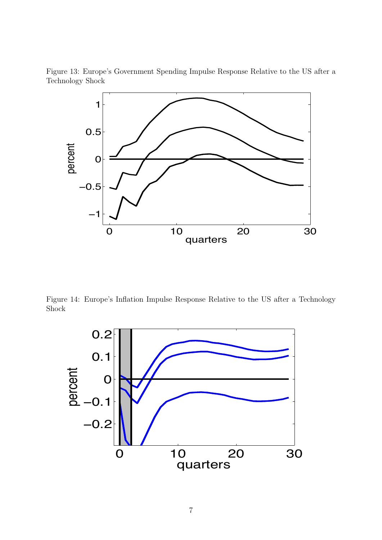Figure 13: Europe's Government Spending Impulse Response Relative to the US after a Technology Shock



Figure 14: Europe's Inflation Impulse Response Relative to the US after a Technology Shock

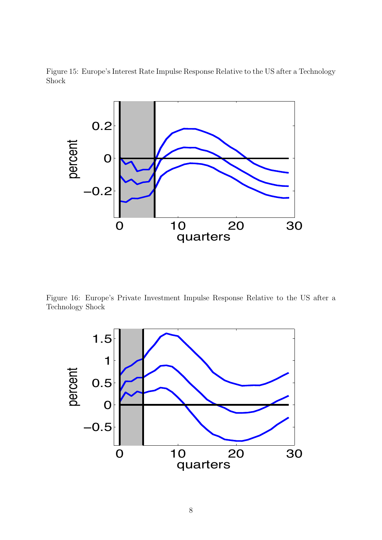Figure 15: Europe's Interest Rate Impulse Response Relative to the US after a Technology Shock



Figure 16: Europe's Private Investment Impulse Response Relative to the US after a Technology Shock